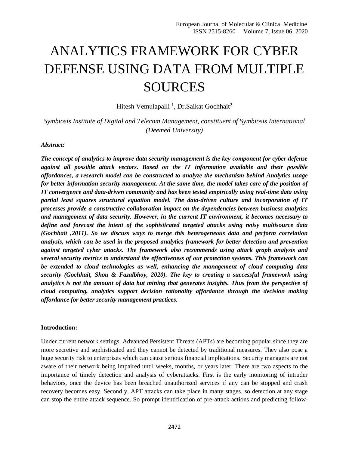# ANALYTICS FRAMEWORK FOR CYBER DEFENSE USING DATA FROM MULTIPLE SOURCES

Hitesh Vemulapalli<sup>1</sup>, Dr.Saikat Gochhait<sup>2</sup>

*Symbiosis Institute of Digital and Telecom Management, constituent of Symbiosis International (Deemed University)*

### *Abstract:*

*The concept of analytics to improve data security management is the key component for cyber defense against all possible attack vectors. Based on the IT information available and their possible affordances, a research model can be constructed to analyze the mechanism behind Analytics usage for better information security management. At the same time, the model takes care of the position of IT convergence and data-driven community and has been tested empirically using real-time data using partial least squares structural equation model. The data-driven culture and incorporation of IT processes provide a constructive collaboration impact on the dependencies between business analytics and management of data security. However, in the current IT environment, it becomes necessary to define and forecast the intent of the sophisticated targeted attacks using noisy multisource data (Gochhait ,2011). So we discuss ways to merge this heterogeneous data and perform correlation analysis, which can be used in the proposed analytics framework for better detection and prevention against targeted cyber attacks. The framework also recommends using attack graph analysis and several security metrics to understand the effectiveness of our protection systems. This framework can be extended to cloud technologies as well, enhancing the management of cloud computing data security (Gochhait, Shou & Fazalbhoy, 2020). The key to creating a successful framework using analytics is not the amount of data but mining that generates insights. Thus from the perspective of cloud computing, analytics support decision rationality affordance through the decision making affordance for better security management practices.*

## **Introduction:**

Under current network settings, Advanced Persistent Threats (APTs) are becoming popular since they are more secretive and sophisticated and they cannot be detected by traditional measures. They also pose a huge security risk to enterprises which can cause serious financial implications. Security managers are not aware of their network being impaired until weeks, months, or years later. There are two aspects to the importance of timely detection and analysis of cyberattacks. First is the early monitoring of intruder behaviors, once the device has been breached unauthorized services if any can be stopped and crash recovery becomes easy. Secondly, APT attacks can take place in many stages, so detection at any stage can stop the entire attack sequence. So prompt identification of pre-attack actions and predicting follow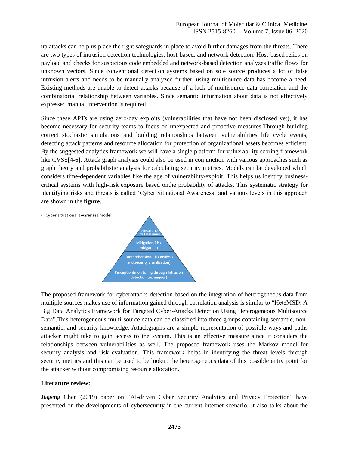up attacks can help us place the right safeguards in place to avoid further damages from the threats. There are two types of intrusion detection technologies, host-based, and network detection. Host-based relies on payload and checks for suspicious code embedded and network-based detection analyzes traffic flows for unknown vectors. Since conventional detection systems based on sole source produces a lot of false intrusion alerts and needs to be manually analyzed further, using multisource data has become a need. Existing methods are unable to detect attacks because of a lack of multisource data correlation and the combinatorial relationship between variables. Since semantic information about data is not effectively expressed manual intervention is required.

Since these APTs are using zero-day exploits (vulnerabilities that have not been disclosed yet), it has become necessary for security teams to focus on unexpected and proactive measures.Through building correct stochastic simulations and building relationships between vulnerabilities life cycle events, detecting attack patterns and resource allocation for protection of organizational assets becomes efficient. By the suggested analytics framework we will have a single platform for vulnerability scoring framework like CVSS[4-6]. Attack graph analysis could also be used in conjunction with various approaches such as graph theory and probabilistic analysis for calculating security metrics. Models can be developed which considers time-dependent variables like the age of vulnerability/exploit. This helps us identify businesscritical systems with high-risk exposure based onthe probability of attacks. This systematic strategy for identifying risks and threats is called 'Cyber Situational Awareness' and various levels in this approach are shown in the **figure**.

• Cyber situational awareness model



The proposed framework for cyberattacks detection based on the integration of heterogeneous data from multiple sources makes use of information gained through correlation analysis is similar to "HeteMSD: A Big Data Analytics Framework for Targeted Cyber-Attacks Detection Using Heterogeneous Multisource Data".This heterogeneous multi-source data can be classified into three groups containing semantic, nonsemantic, and security knowledge. Attackgraphs are a simple representation of possible ways and paths attacker might take to gain access to the system. This is an effective measure since it considers the relationships between vulnerabilities as well. The proposed framework uses the Markov model for security analysis and risk evaluation. This framework helps in identifying the threat levels through security metrics and this can be used to be lookup the heterogeneous data of this possible entry point for the attacker without compromising resource allocation.

#### **Literature review:**

Jiageng Chen (2019) paper on "AI-driven Cyber Security Analytics and Privacy Protection" have presented on the developments of cybersecurity in the current internet scenario. It also talks about the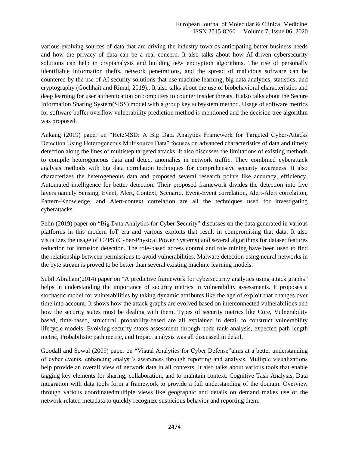various evolving sources of data that are driving the industry towards anticipating better business needs and how the privacy of data can be a real concern. It also talks about how AI-driven cybersecurity solutions can help in cryptanalysis and building new encryption algorithms. The rise of personally identifiable information thefts, network penetrations, and the spread of malicious software can be countered by the use of AI security solutions that use machine learning, big data analytics, statistics, and cryptography (Gochhait and Rimal, 2019).. It also talks about the use of biobehavioral characteristics and deep learning for user authentication on computers to counter insider threats. It also talks about the Secure Information Sharing System(SISS) model with a group key subsystem method. Usage of software metrics for software buffer overflow vulnerability prediction method is mentioned and the decision tree algorithm was proposed.

Ankang (2019) paper on "HeteMSD: A Big Data Analytics Framework for Targeted Cyber-Attacks Detection Using Heterogeneous Multisource Data" focuses on advanced characteristics of data and timely detection along the lines of multistep targeted attacks. It also discusses the limitations of existing methods to compile heterogeneous data and detect anomalies in network traffic. They combined cyberattack analysis methods with big data correlation techniques for comprehensive security awareness. It also characterizes the heterogeneous data and proposed several research points like accuracy, efficiency, Automated intelligence for better detection. Their proposed framework divides the detection into five layers namely Sensing, Event, Alert, Context, Scenario. Event-Event correlation, Alert-Alert correlation, Pattern-Knowledge, and Alert-context correlation are all the techniques used for investigating cyberattacks.

Pelin (2019) paper on "Big Data Analytics for Cyber Security" discusses on the data generated in various platforms in this modern IoT era and various exploits that result in compromising that data. It also visualizes the usage of CPPS (Cyber-Physical Power Systems) and several algorithms for dataset features reduction for intrusion detection. The role-based access control and role mining have been used to find the relationship between permissions to avoid vulnerabilities. Malware detection using neural networks in the byte stream is proved to be better than several existing machine learning models.

Subil Abraham(2014) paper on "A predictive framework for cybersecurity analytics using attack graphs" helps in understanding the importance of security metrics in vulnerability assessments. It proposes a stochastic model for vulnerabilities by taking dynamic attributes like the age of exploit that changes over time into account. It shows how the attack graphs are evolved based on interconnected vulnerabilities and how the security states must be dealing with them. Types of security metrics like Core, Vulnerability based, time-based, structural, probability-based are all explained in detail to construct vulnerability lifecycle models. Evolving security states assessment through node rank analysis, expected path length metric, Probabilistic path metric, and Impact analysis was all discussed in detail.

Goodall and Sowul (2009) paper on "Visual Analytics for Cyber Defense"aims at a better understanding of cyber events, enhancing analyst's awareness through reporting and analysis. Multiple visualizations help provide an overall view of network data in all contexts. It also talks about various tools that enable tagging key elements for sharing, collaboration, and to maintain context. Cognitive Task Analysis, Data integration with data tools form a framework to provide a full understanding of the domain. Overview through various coordinatedmultiple views like geographic and details on demand makes use of the network-related metadata to quickly recognize suspicious behavior and reporting them.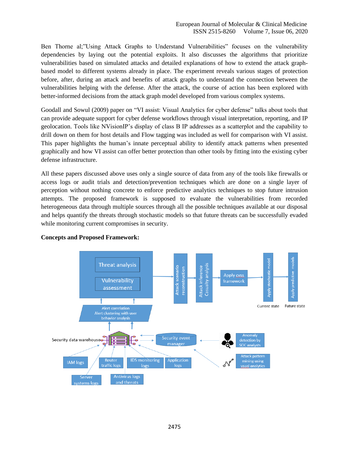Ben Thorne al;"Using Attack Graphs to Understand Vulnerabilities" focuses on the vulnerability dependencies by laying out the potential exploits. It also discusses the algorithms that prioritize vulnerabilities based on simulated attacks and detailed explanations of how to extend the attack graphbased model to different systems already in place. The experiment reveals various stages of protection before, after, during an attack and benefits of attack graphs to understand the connection between the vulnerabilities helping with the defense. After the attack, the course of action has been explored with better-informed decisions from the attack graph model developed from various complex systems.

Goodall and Sowul (2009) paper on "VI assist: Visual Analytics for cyber defense" talks about tools that can provide adequate support for cyber defense workflows through visual interpretation, reporting, and IP geolocation. Tools like NVisionIP's display of class B IP addresses as a scatterplot and the capability to drill down on them for host details and Flow tagging was included as well for comparison with VI assist. This paper highlights the human's innate perceptual ability to identify attack patterns when presented graphically and how VI assist can offer better protection than other tools by fitting into the existing cyber defense infrastructure.

All these papers discussed above uses only a single source of data from any of the tools like firewalls or access logs or audit trials and detection/prevention techniques which are done on a single layer of perception without nothing concrete to enforce predictive analytics techniques to stop future intrusion attempts. The proposed framework is supposed to evaluate the vulnerabilities from recorded heterogeneous data through multiple sources through all the possible techniques available at our disposal and helps quantify the threats through stochastic models so that future threats can be successfully evaded while monitoring current compromises in security.



## **Concepts and Proposed Framework:**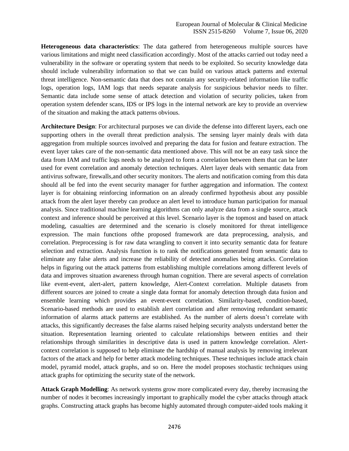**Heterogeneous data characteristics**: The data gathered from heterogeneous multiple sources have various limitations and might need classification accordingly. Most of the attacks carried out today need a vulnerability in the software or operating system that needs to be exploited. So security knowledge data should include vulnerability information so that we can build on various attack patterns and external threat intelligence. Non-semantic data that does not contain any security-related information like traffic logs, operation logs, IAM logs that needs separate analysis for suspicious behavior needs to filter. Semantic data include some sense of attack detection and violation of security policies, taken from operation system defender scans, IDS or IPS logs in the internal network are key to provide an overview of the situation and making the attack patterns obvious.

**Architecture Design**: For architectural purposes we can divide the defense into different layers, each one supporting others in the overall threat prediction analysis. The sensing layer mainly deals with data aggregation from multiple sources involved and preparing the data for fusion and feature extraction. The event layer takes care of the non-semantic data mentioned above. This will not be an easy task since the data from IAM and traffic logs needs to be analyzed to form a correlation between them that can be later used for event correlation and anomaly detection techniques. Alert layer deals with semantic data from antivirus software, firewalls,and other security monitors. The alerts and notification coming from this data should all be fed into the event security manager for further aggregation and information. The context layer is for obtaining reinforcing information on an already confirmed hypothesis about any possible attack from the alert layer thereby can produce an alert level to introduce human participation for manual analysis. Since traditional machine learning algorithms can only analyze data from a single source, attack context and inference should be perceived at this level. Scenario layer is the topmost and based on attack modeling, casualties are determined and the scenario is closely monitored for threat intelligence expression. The main functions ofthe proposed framework are data preprocessing, analysis, and correlation. Preprocessing is for raw data wrangling to convert it into security semantic data for feature selection and extraction. Analysis function is to rank the notifications generated from semantic data to eliminate any false alerts and increase the reliability of detected anomalies being attacks. Correlation helps in figuring out the attack patterns from establishing multiple correlations among different levels of data and improves situation awareness through human cognition. There are several aspects of correlation like event-event, alert-alert, pattern knowledge, Alert-Context correlation. Multiple datasets from different sources are joined to create a single data format for anomaly detection through data fusion and ensemble learning which provides an event-event correlation. Similarity-based, condition-based, Scenario-based methods are used to establish alert correlation and after removing redundant semantic information of alarms attack patterns are established. As the number of alerts doesn't correlate with attacks, this significantly decreases the false alarms raised helping security analysts understand better the situation. Representation learning oriented to calculate relationships between entities and their relationships through similarities in descriptive data is used in pattern knowledge correlation. Alertcontext correlation is supposed to help eliminate the hardship of manual analysis by removing irrelevant factors of the attack and help for better attack modeling techniques. These techniques include attack chain model, pyramid model, attack graphs, and so on. Here the model proposes stochastic techniques using attack graphs for optimizing the security state of the network.

**Attack Graph Modelling**: As network systems grow more complicated every day, thereby increasing the number of nodes it becomes increasingly important to graphically model the cyber attacks through attack graphs. Constructing attack graphs has become highly automated through computer-aided tools making it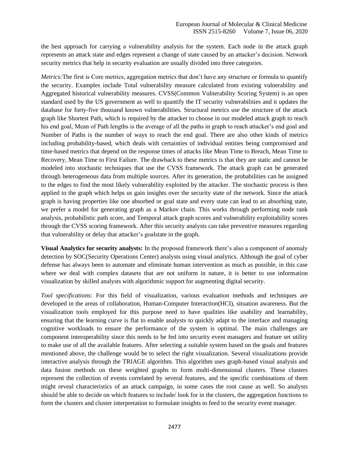the best approach for carrying a vulnerability analysis for the system. Each node in the attack graph represents an attack state and edges represent a change of state caused by an attacker's decision. Network security metrics that help in security evaluation are usually divided into three categories.

*Metrics:*The first is Core metrics, aggregation metrics that don't have any structure or formula to quantify the security. Examples include Total vulnerability measure calculated from existing vulnerability and Aggregated historical vulnerability measures. CVSS(Common Vulnerability Scoring System) is an open standard used by the US government as well to quantify the IT security vulnerabilities and it updates the database for forty-five thousand known vulnerabilities. Structural metrics use the structure of the attack graph like Shortest Path, which is required by the attacker to choose in our modeled attack graph to reach his end goal, Mean of Path lengths is the average of all the paths in graph to reach attacker's end goal and Number of Paths is the number of ways to reach the end goal. There are also other kinds of metrics including probability-based, which deals with certainties of individual entities being compromised and time-based metrics that depend on the response times of attacks like Mean Time to Breach, Mean Time to Recovery, Mean Time to First Failure. The drawback to these metrics is that they are static and cannot be modeled into stochastic techniques that use the CVSS framework. The attack graph can be generated through heterogeneous data from multiple sources. After its generation, the probabilities can be assigned to the edges to find the most likely vulnerability exploited by the attacker. The stochastic process is then applied to the graph which helps us gain insights over the security state of the network. Since the attack graph is having properties like one absorbed or goal state and every state can lead to an absorbing state, we prefer a model for generating graph as a Markov chain. This works through performing node rank analysis, probabilistic path score, and Temporal attack graph scores and vulnerability exploitability scores through the CVSS scoring framework. After this security analysts can take preventive measures regarding that vulnerability or delay that attacker's goalstate in the graph.

**Visual Analytics for security analysts:** In the proposed framework there's also a component of anomaly detection by SOC(Security Operations Center) analysts using visual analytics. Although the goal of cyber defense has always been to automate and eliminate human intervention as much as possible, in this case where we deal with complex datasets that are not uniform in nature, it is better to use information visualization by skilled analysts with algorithmic support for augmenting digital security.

*Tool specifications:* For this field of visualization, various evaluation methods and techniques are developed in the areas of collaboration, Human-Computer Interaction(HCI), situation awareness. But the visualization tools employed for this purpose need to have qualities like usability and learnability, ensuring that the learning curve is flat to enable analysts to quickly adapt to the interface and managing cognitive workloads to ensure the performance of the system is optimal. The main challenges are component interoperability since this needs to be fed into security event managers and feature set utility to make use of all the available features. After selecting a suitable system based on the goals and features mentioned above, the challenge would be to select the right visualization. Several visualizations provide interactive analysis through the TRIAGE algorithm. This algorithm uses graph-based visual analysis and data fusion methods on these weighted graphs to form multi-dimensional clusters. These clusters represent the collection of events correlated by several features, and the specific combinations of them might reveal characteristics of an attack campaign, in some cases the root cause as well. So analysts should be able to decide on which features to include/ look for in the clusters, the aggregation functions to form the clusters and cluster interpretation to formulate insights to feed to the security event manager.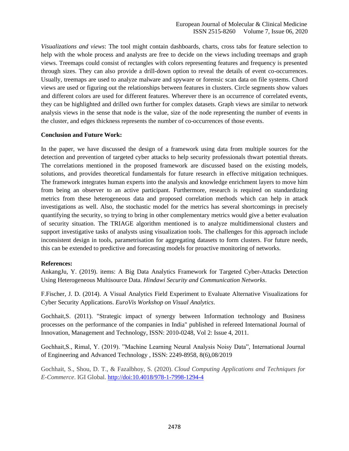*Visualizations and views*: The tool might contain dashboards, charts, cross tabs for feature selection to help with the whole process and analysts are free to decide on the views including treemaps and graph views. Treemaps could consist of rectangles with colors representing features and frequency is presented through sizes. They can also provide a drill-down option to reveal the details of event co-occurrences. Usually, treemaps are used to analyze malware and spyware or forensic scan data on file systems. Chord views are used or figuring out the relationships between features in clusters. Circle segments show values and different colors are used for different features. Wherever there is an occurrence of correlated events, they can be highlighted and drilled own further for complex datasets. Graph views are similar to network analysis views in the sense that node is the value, size of the node representing the number of events in the cluster, and edges thickness represents the number of co-occurrences of those events.

## **Conclusion and Future Work:**

In the paper, we have discussed the design of a framework using data from multiple sources for the detection and prevention of targeted cyber attacks to help security professionals thwart potential threats. The correlations mentioned in the proposed framework are discussed based on the existing models, solutions, and provides theoretical fundamentals for future research in effective mitigation techniques. The framework integrates human experts into the analysis and knowledge enrichment layers to move him from being an observer to an active participant. Furthermore, research is required on standardizing metrics from these heterogeneous data and proposed correlation methods which can help in attack investigations as well. Also, the stochastic model for the metrics has several shortcomings in precisely quantifying the security, so trying to bring in other complementary metrics would give a better evaluation of security situation. The TRIAGE algorithm mentioned is to analyze multidimensional clusters and support investigative tasks of analysts using visualization tools. The challenges for this approach include inconsistent design in tools, parametrisation for aggregating datasets to form clusters. For future needs, this can be extended to predictive and forecasting models for proactive monitoring of networks.

#### **References:**

AnkangJu, Y. (2019). items: A Big Data Analytics Framework for Targeted Cyber-Attacks Detection Using Heterogeneous Multisource Data. *Hindawi Security and Communication Networks*.

F.Fischer, J. D. (2014). A Visual Analytics Field Experiment to Evaluate Alternative Visualizations for Cyber Security Applications. *EuroVis Workshop on Visual Analytics*.

Gochhait,S. (2011). "Strategic impact of synergy between Information technology and Business processes on the performance of the companies in India" published in refereed International Journal of Innovation, Management and Technology, ISSN: 2010-0248, Vol 2: Issue 4, 2011.

Gochhait,S., Rimal, Y. (2019). "Machine Learning Neural Analysis Noisy Data", International Journal of Engineering and Advanced Technology , ISSN: 2249-8958, 8(6),08/2019

Gochhait, S., Shou, D. T., & Fazalbhoy, S. (2020). *Cloud Computing Applications and Techniques for E-Commerce*. IGI Global.<http://doi:10.4018/978-1-7998-1294-4>